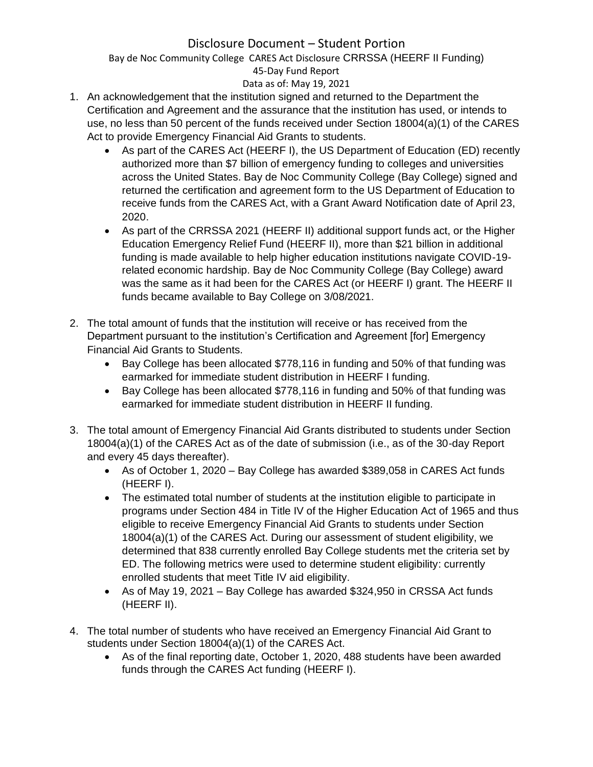## Disclosure Document – Student Portion

Bay de Noc Community College CARES Act Disclosure CRRSSA (HEERF II Funding)

# 45-Day Fund Report

- Data as of: May 19, 2021
- 1. An acknowledgement that the institution signed and returned to the Department the Certification and Agreement and the assurance that the institution has used, or intends to use, no less than 50 percent of the funds received under Section 18004(a)(1) of the CARES Act to provide Emergency Financial Aid Grants to students.
	- As part of the CARES Act (HEERF I), the US Department of Education (ED) recently authorized more than \$7 billion of emergency funding to colleges and universities across the United States. Bay de Noc Community College (Bay College) signed and returned the certification and agreement form to the US Department of Education to receive funds from the CARES Act, with a Grant Award Notification date of April 23, 2020.
	- As part of the CRRSSA 2021 (HEERF II) additional support funds act, or the Higher Education Emergency Relief Fund (HEERF II), more than \$21 billion in additional funding is made available to help higher education institutions navigate COVID-19 related economic hardship. Bay de Noc Community College (Bay College) award was the same as it had been for the CARES Act (or HEERF I) grant. The HEERF II funds became available to Bay College on 3/08/2021.
- 2. The total amount of funds that the institution will receive or has received from the Department pursuant to the institution's Certification and Agreement [for] Emergency Financial Aid Grants to Students.
	- Bay College has been allocated \$778,116 in funding and 50% of that funding was earmarked for immediate student distribution in HEERF I funding.
	- Bay College has been allocated \$778,116 in funding and 50% of that funding was earmarked for immediate student distribution in HEERF II funding.
- 3. The total amount of Emergency Financial Aid Grants distributed to students under Section 18004(a)(1) of the CARES Act as of the date of submission (i.e., as of the 30-day Report and every 45 days thereafter).
	- As of October 1, 2020 Bay College has awarded \$389,058 in CARES Act funds (HEERF I).
	- The estimated total number of students at the institution eligible to participate in programs under Section 484 in Title IV of the Higher Education Act of 1965 and thus eligible to receive Emergency Financial Aid Grants to students under Section 18004(a)(1) of the CARES Act. During our assessment of student eligibility, we determined that 838 currently enrolled Bay College students met the criteria set by ED. The following metrics were used to determine student eligibility: currently enrolled students that meet Title IV aid eligibility.
	- As of May 19, 2021 Bay College has awarded \$324,950 in CRSSA Act funds (HEERF II).
- 4. The total number of students who have received an Emergency Financial Aid Grant to students under Section 18004(a)(1) of the CARES Act.
	- As of the final reporting date, October 1, 2020, 488 students have been awarded funds through the CARES Act funding (HEERF I).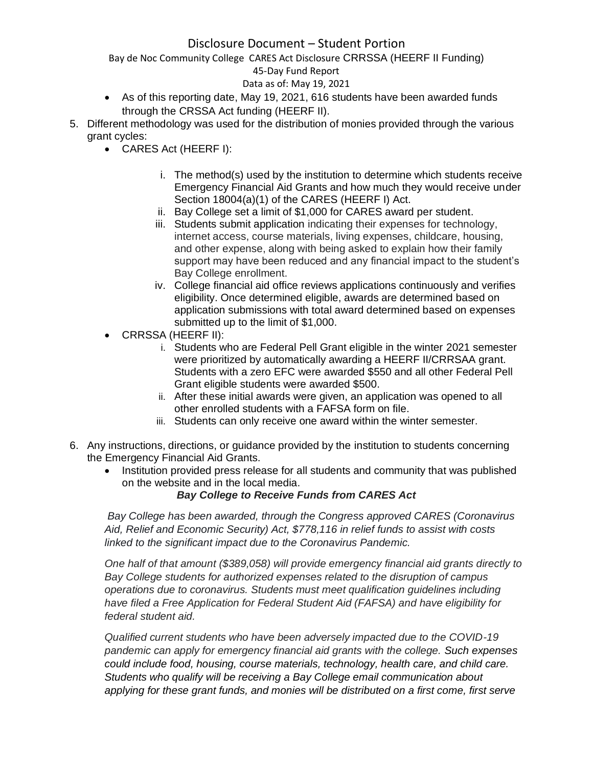## Disclosure Document – Student Portion

Bay de Noc Community College CARES Act Disclosure CRRSSA (HEERF II Funding)

#### 45-Day Fund Report

Data as of: May 19, 2021

- As of this reporting date, May 19, 2021, 616 students have been awarded funds through the CRSSA Act funding (HEERF II).
- 5. Different methodology was used for the distribution of monies provided through the various grant cycles:
	- CARES Act (HEERF I):
		- i. The method(s) used by the institution to determine which students receive Emergency Financial Aid Grants and how much they would receive under Section 18004(a)(1) of the CARES (HEERF I) Act.
		- ii. Bay College set a limit of \$1,000 for CARES award per student.
		- iii. Students submit application indicating their expenses for technology, internet access, course materials, living expenses, childcare, housing, and other expense, along with being asked to explain how their family support may have been reduced and any financial impact to the student's Bay College enrollment.
		- iv. College financial aid office reviews applications continuously and verifies eligibility. Once determined eligible, awards are determined based on application submissions with total award determined based on expenses submitted up to the limit of \$1,000.
	- CRRSSA (HEERF II):
		- i. Students who are Federal Pell Grant eligible in the winter 2021 semester were prioritized by automatically awarding a HEERF II/CRRSAA grant. Students with a zero EFC were awarded \$550 and all other Federal Pell Grant eligible students were awarded \$500.
		- ii. After these initial awards were given, an application was opened to all other enrolled students with a FAFSA form on file.
		- iii. Students can only receive one award within the winter semester.
- 6. Any instructions, directions, or guidance provided by the institution to students concerning the Emergency Financial Aid Grants.
	- Institution provided press release for all students and community that was published on the website and in the local media.

### *Bay College to Receive Funds from CARES Act*

*Bay College has been awarded, through the Congress approved CARES (Coronavirus Aid, Relief and Economic Security) Act, \$778,116 in relief funds to assist with costs linked to the significant impact due to the Coronavirus Pandemic.*

*One half of that amount (\$389,058) will provide emergency financial aid grants directly to Bay College students for authorized expenses related to the disruption of campus operations due to coronavirus. Students must meet qualification guidelines including have filed a Free Application for Federal Student Aid (FAFSA) and have eligibility for federal student aid.*

*Qualified current students who have been adversely impacted due to the COVID-19 pandemic can apply for emergency financial aid grants with the college. Such expenses could include food, housing, course materials, technology, health care, and child care. Students who qualify will be receiving a Bay College email communication about applying for these grant funds, and monies will be distributed on a first come, first serve*